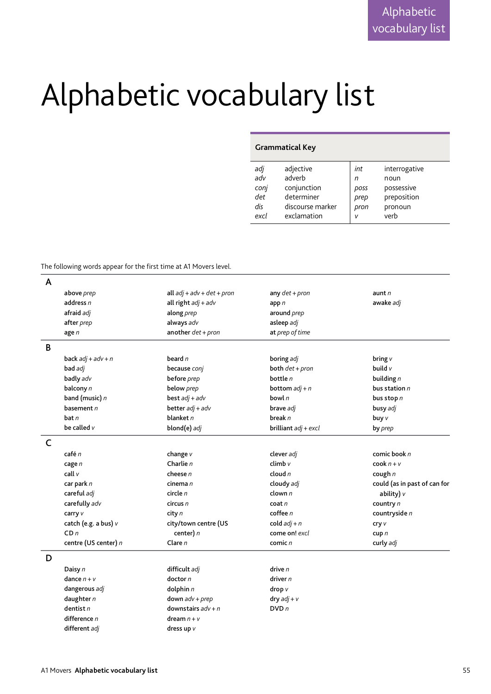## Alphabetic vocabulary list

## **Grammatical Key**

| adj  | adjective        | int  | interrogative |
|------|------------------|------|---------------|
| adv  | adverb           | n    | noun          |
| conj | conjunction      | poss | possessive    |
| det  | determiner       | prep | preposition   |
| dis  | discourse marker | pron | pronoun       |
| excl | exclamation      | v    | verb          |

The following words appear for the first time at A1 Movers level.

| A |                      |                              |                        |                              |
|---|----------------------|------------------------------|------------------------|------------------------------|
|   | above prep           | all $adj + adv + det + pron$ | any $det + pron$       | aunt $n$                     |
|   | address $n$          | all right $adj + adv$        | app $n$                | awake adj                    |
|   | afraid adj           | along prep                   | around prep            |                              |
|   | after prep           | always adv                   | asleep adj             |                              |
|   | age $n$              | another $det + pron$         | at prep of time        |                              |
| B |                      |                              |                        |                              |
|   | back $adj + adv + n$ | beard $n$                    | boring adj             | bring v                      |
|   | bad adj              | because conj                 | both $det + pron$      | build v                      |
|   | badly adv            | before prep                  | bottle $n$             | building $n$                 |
|   | balcony n            | below prep                   | bottom $adj + n$       | bus station $n$              |
|   | band (music) n       | best $adj + adv$             | bowl $n$               | bus stop $n$                 |
|   | basement $n$         | better $adj + adv$           | brave adj              | busy adj                     |
|   | bat n                | blanket $n$                  | break $n$              | buy v                        |
|   | be called $v$        | blond(e) adj                 | brilliant $adj + excl$ | by prep                      |
| C |                      |                              |                        |                              |
|   | café n               | change $v$                   | clever adj             | comic book n                 |
|   | cage n               | Charlie $n$                  | climb v                | $\cosh n + v$                |
|   | call v               | cheese $n$                   | cloud $n$              | cough $n$                    |
|   | car park n           | cinema n                     | cloudy adj             | could (as in past of can for |
|   | careful adj          | circle $n$                   | clown $n$              | ability) $\nu$               |
|   | carefully adv        | circus n                     | $\cot n$               | country n                    |
|   | carry v              | city n                       | cofree n               | countryside n                |
|   | catch (e.g. a bus) v | city/town centre (US         | cold $adj + n$         | cry v                        |
|   | CDn                  | center) $n$                  | come on! excl          | cup p n                      |
|   | centre (US center) n | Clare $n$                    | comic n                | curly adj                    |
| D |                      |                              |                        |                              |
|   | Daisy n              | difficult adj                | drive n                |                              |
|   | dance $n + v$        | dactor n                     | driver n               |                              |
|   | dangerous adj        | dolphin $n$                  | drop v                 |                              |
|   | daughter $n$         | $down$ $adv + prep$          | $dry$ $adj + v$        |                              |
|   | dentist $n$          | downstairs $adv + n$         | DVDn                   |                              |
|   | difference n         | dream $n + v$                |                        |                              |
|   | different adj        | dress up v                   |                        |                              |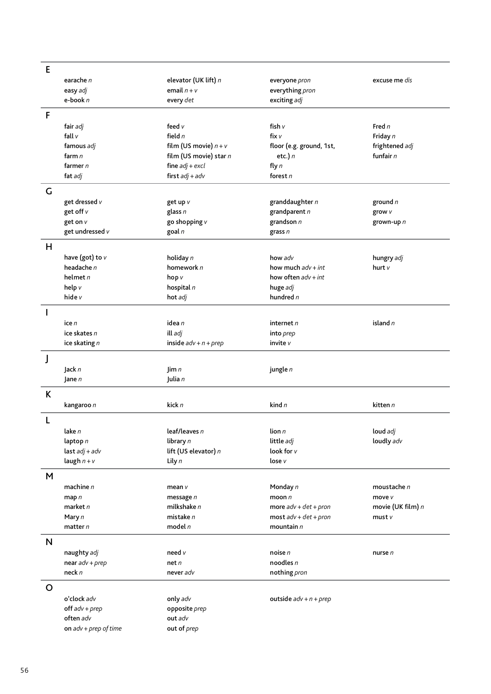| E           |                         |                         |                          |                   |
|-------------|-------------------------|-------------------------|--------------------------|-------------------|
|             | earache n               | elevator (UK lift) n    | everyone pron            | excuse me dis     |
|             | easy adj                | email $n + v$           | everything pron          |                   |
|             | e-book $n$              | every det               | exciting adj             |                   |
|             |                         |                         |                          |                   |
| F           |                         |                         |                          |                   |
|             | fair adj                | feed $v$                | fish v                   | Fred n            |
|             | fall $v$                | field $n$               | fix $v$                  | Friday n          |
|             | famous adj              | film (US movie) $n + v$ | floor (e.g. ground, 1st, | frightened adj    |
|             | farm n                  | film (US movie) star n  | etc.) $n$                | funfair $n$       |
|             | farmer $n$              | fine $adj + excl$       | fly $n$                  |                   |
|             | fat adj                 | first $adj + adv$       | forest $n$               |                   |
| G           |                         |                         |                          |                   |
|             | get dressed v           | get up v                | granddaughter n          | ground $n$        |
|             | get off v               | glass $n$               | grandparent n            | grow v            |
|             | get on v                | go shopping v           | grandson $n$             | grown-up n        |
|             | get undressed v         | goal n                  | grass $n$                |                   |
| H           |                         |                         |                          |                   |
|             | have (got) to $v$       | holiday n               | how adv                  | hungry adj        |
|             | headache n              | homework n              | how much $adv + int$     | hurt v            |
|             | helmet $n$              | hop v                   | how often $adv + int$    |                   |
|             | help v                  | hospital $n$            | huge adj                 |                   |
|             | hide v                  | hot adj                 | hundred $n$              |                   |
|             |                         |                         |                          |                   |
| J.          |                         |                         |                          |                   |
|             | ice $n$                 | idea n                  | internet n               | island $n$        |
|             | ice skates n            | ill adj                 | into prep                |                   |
|             | ice skating n           | inside $adv + n + prep$ | invite v                 |                   |
| J           |                         |                         |                          |                   |
|             | Jack n                  | $\lim n$                | jungle n                 |                   |
|             | Jane $n$                | Julia n                 |                          |                   |
| K           |                         |                         |                          |                   |
|             | kangaroo n              | kick n                  | kind $n$                 | kitten n          |
|             |                         |                         |                          |                   |
| L           |                         |                         |                          |                   |
|             | lake n                  | leaf/leaves $n$         | lion n                   | loud adj          |
|             | laptop $n$              | library n               | little adj               | loudly adv        |
|             | last $adj + adv$        | lift (US elevator) n    | look for v               |                   |
|             | laugh $n + v$           | Lily $n$                | lose v                   |                   |
| M           |                         |                         |                          |                   |
|             | machine $n$             | mean $\nu$              | Monday n                 | moustache n       |
|             | map $n$                 | message $n$             | moon $n$                 | move v            |
|             | market n                | milkshake $n$           | more $adv + det + pron$  | movie (UK film) n |
|             | Mary n                  | mistake $n$             | $most$ adv + det + pron  | must v            |
|             | matter $n$              | model $n$               | mountain $n$             |                   |
| N           |                         |                         |                          |                   |
|             | naughty adj             | need v                  | noise n                  | nurse n           |
|             | near $adv + prep$       | net n                   | noodles $n$              |                   |
|             | neck n                  | never adv               | nothing pron             |                   |
|             |                         |                         |                          |                   |
| $\mathbf O$ |                         |                         |                          |                   |
|             | o'clock adv             | only adv                | outside $adv + n + prep$ |                   |
|             | $off$ adv + $prep$      | opposite prep           |                          |                   |
|             | often adv               | out adv                 |                          |                   |
|             | on $adv + prep$ of time | out of prep             |                          |                   |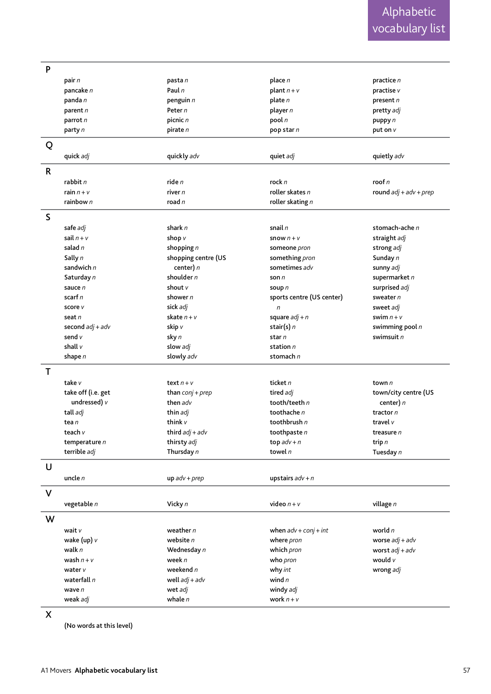| P            |                    |                     |                           |                          |
|--------------|--------------------|---------------------|---------------------------|--------------------------|
|              | pair n             | pasta n             | place $n$                 | practice n               |
|              | pancake n          | Paul n              | plant $n + v$             | practise v               |
|              | panda n            | penguin n           | plate $n$                 | present $n$              |
|              | parent n           | Peter n             | player n                  | pretty adj               |
|              | parrot n           | picnic n            | pool $n$                  | puppy n                  |
|              | party n            | pirate n            | pop star n                | put on $V$               |
|              |                    |                     |                           |                          |
| Q            |                    |                     |                           |                          |
|              | quick adj          | quickly adv         | quiet adj                 | quietly adv              |
| $\mathsf{R}$ |                    |                     |                           |                          |
|              | rabbit n           | ride $n$            | rock n                    | roof n                   |
|              | rain $n + v$       | river $n$           | roller skates n           | round $adj + adv + prep$ |
|              | rainbow n          | road $n$            | roller skating $n$        |                          |
|              |                    |                     |                           |                          |
| S            |                    |                     |                           |                          |
|              | safe adj           | shark $n$           | snail $n$                 | stomach-ache n           |
|              | sail $n + v$       | shop v              | snow $n + v$              | straight adj             |
|              | salad $n$          | shopping $n$        | someone pron              | strong adj               |
|              | Sally n            | shopping centre (US | something pron            | Sunday n                 |
|              | sandwich n         | center) $n$         | sometimes adv             | sunny adj                |
|              | Saturday n         | shoulder $n$        | son $n$                   | supermarket n            |
|              | sauce n            | shout $\nu$         | soup n                    | surprised adj            |
|              | scarf n            | shower n            | sports centre (US center) | sweater n                |
|              | score v            | sick adj            | $\sqrt{n}$                | sweet adj                |
|              | seat n             | skate $n + v$       | square $adj + n$          | swim $n + v$             |
|              | second $adj + adv$ | skip v              | stair(s) $n$              | swimming pool n          |
|              | send v             | sky n               | star n                    | swimsuit n               |
|              | shall v            | slow adj            | station n                 |                          |
|              | shape n            | slowly adv          | stomach n                 |                          |
| T            |                    |                     |                           |                          |
|              | take v             | text $n + v$        | ticket n                  | town $n$                 |
|              | take off (i.e. get | than $conj + prep$  | tired adj                 | town/city centre (US     |
|              | undressed) v       | then adv            | tooth/teeth $n$           | center) n                |
|              | tall adj           | thin adj            | toothache n               | tractor n                |
|              | tea n              | think v             | toothbrush $n$            | travel v                 |
|              | teach $v$          | third $adj + adv$   | toothpaste $n$            | treasure n               |
|              | temperature $n$    | thirsty adj         | top $adv + n$             | trip $n$                 |
|              | terrible adj       | Thursday n          | towel $n$                 | Tuesday n                |
|              |                    |                     |                           |                          |
| U            |                    |                     |                           |                          |
|              | uncle $n$          | $up$ adv + prep     | upstairs $adv + n$        |                          |
| $\mathsf{V}$ |                    |                     |                           |                          |
|              | vegetable n        | Vicky n             | video $n + v$             | village n                |
|              |                    |                     |                           |                          |
| W            |                    |                     |                           |                          |
|              | wait v             | weather n           | when $adv + conj + int$   | world n                  |
|              | wake (up) $v$      | website $n$         | where pron                | worse $adj + adv$        |
|              | walk $n$           | Wednesday n         | which pron                | worst $adj + adv$        |
|              | wash $n + v$       | week n              | who pron                  | would $v$                |
|              | water v            | weekend $n$         | why int                   | wrong adj                |
|              | waterfall n        | well $adj + adv$    | wind $n$                  |                          |
|              | wave $n$           | wet adj             | windy adj                 |                          |
|              | weak adj           | whale $n$           | work $n + v$              |                          |
|              |                    |                     |                           |                          |

X

(No words at this level)